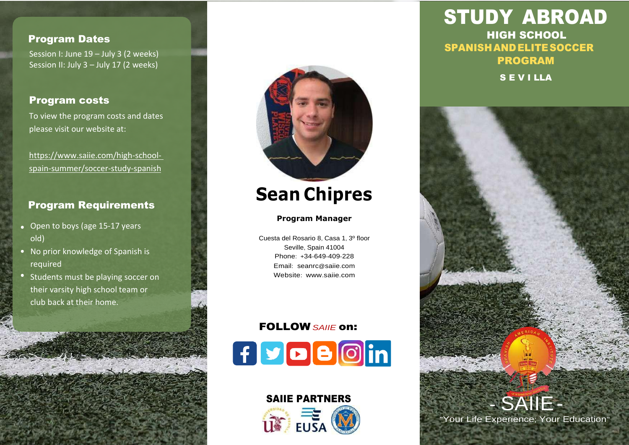# Program Dates

Session I: June 19 – July 3 (2 weeks) Session II: July 3 – July 17 (2 weeks)

# Program costs

To view the program costs and dates please visit our website at:

[https://www.saiie.com/high-school](https://www.saiie.com/high-school-spain-summer/soccer-study-spanish)[spain-summer/soccer-study-spanish](https://www.saiie.com/high-school-spain-summer/soccer-study-spanish)

# Program Requirements

- Open to boys (age 15-17 years old)
- No prior knowledge of Spanish is required
- Students must be playing soccer on their varsity high school team or club back at their home.

š in Mar



# **Sean Chipres**

# **[Program](http://saiie.com/) Manager**

[Cuesta del Rosario 8](http://saiie.com/), Casa 1, 3º floor Seville, [Spain 41004](http://saiie.com/) [Phone](http://saiie.com/): +34-649-409-228 Email: [seanrc](http://saiie.com/)@saiie.com [Website](http://saiie.com/): www.saiie.com

# FOLLOW *SAIIE* on:



SAIIE PARTNERS

STUDY ABROAD HIGH SCHOOL SPANISH ANDELITESOCCER PROGRAM S E V I LLA



"Your Life Experience; Your Education"